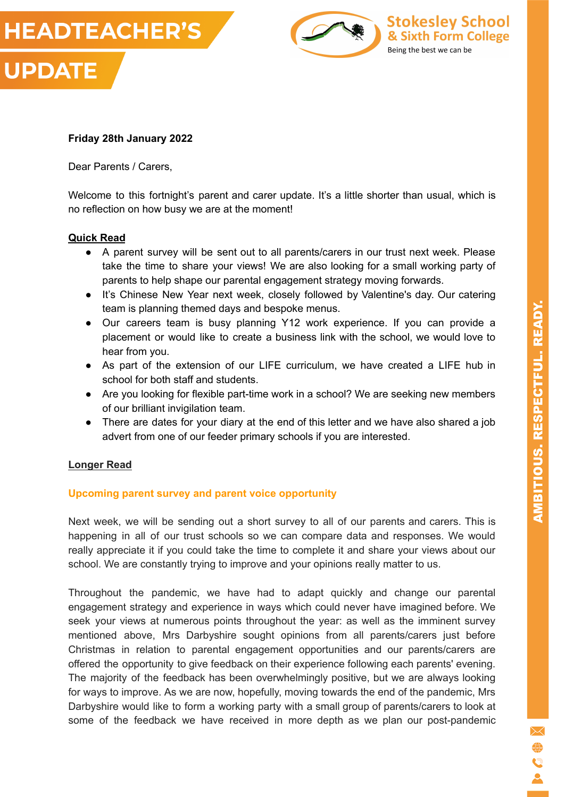



**Stokesley School** 

& Sixth Form College

Being the best we can be

#### **Friday 28th January 2022**

Dear Parents / Carers,

Welcome to this fortnight's parent and carer update. It's a little shorter than usual, which is no reflection on how busy we are at the moment!

#### **Quick Read**

- A parent survey will be sent out to all parents/carers in our trust next week. Please take the time to share your views! We are also looking for a small working party of parents to help shape our parental engagement strategy moving forwards.
- It's Chinese New Year next week, closely followed by Valentine's day. Our catering team is planning themed days and bespoke menus.
- Our careers team is busy planning Y12 work experience. If you can provide a placement or would like to create a business link with the school, we would love to hear from you.
- As part of the extension of our LIFE curriculum, we have created a LIFE hub in school for both staff and students.
- Are you looking for flexible part-time work in a school? We are seeking new members of our brilliant invigilation team.
- There are dates for your diary at the end of this letter and we have also shared a job advert from one of our feeder primary schools if you are interested.

#### **Longer Read**

## **Upcoming parent survey and parent voice opportunity**

Next week, we will be sending out a short survey to all of our parents and carers. This is happening in all of our trust schools so we can compare data and responses. We would really appreciate it if you could take the time to complete it and share your views about our school. We are constantly trying to improve and your opinions really matter to us.

Throughout the pandemic, we have had to adapt quickly and change our parental engagement strategy and experience in ways which could never have imagined before. We seek your views at numerous points throughout the year: as well as the imminent survey mentioned above, Mrs Darbyshire sought opinions from all parents/carers just before Christmas in relation to parental engagement opportunities and our parents/carers are offered the opportunity to give feedback on their experience following each parents' evening. The majority of the feedback has been overwhelmingly positive, but we are always looking for ways to improve. As we are now, hopefully, moving towards the end of the pandemic, Mrs Darbyshire would like to form a working party with a small group of parents/carers to look at some of the feedback we have received in more depth as we plan our post-pandemic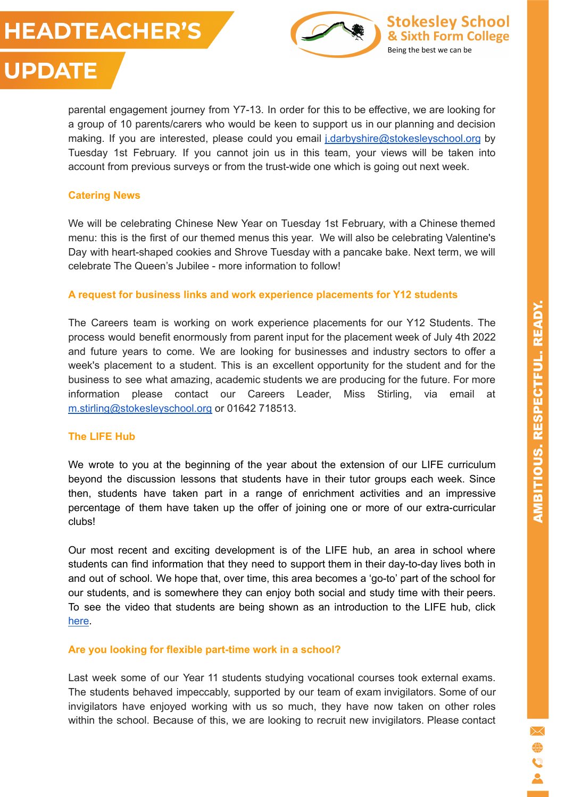# **HEADTEACHER'S**





# **UPDATE**

parental engagement journey from Y7-13. In order for this to be effective, we are looking for a group of 10 parents/carers who would be keen to support us in our planning and decision making. If you are interested, please could you email [j.darbyshire@stokesleyschool.org](mailto:j.darbyshire@stokesleyschool.org) by Tuesday 1st February. If you cannot join us in this team, your views will be taken into account from previous surveys or from the trust-wide one which is going out next week.

# **Catering News**

We will be celebrating Chinese New Year on Tuesday 1st February, with a Chinese themed menu: this is the first of our themed menus this year. We will also be celebrating Valentine's Day with heart-shaped cookies and Shrove Tuesday with a pancake bake. Next term, we will celebrate The Queen's Jubilee - more information to follow!

# **A request for business links and work experience placements for Y12 students**

The Careers team is working on work experience placements for our Y12 Students. The process would benefit enormously from parent input for the placement week of July 4th 2022 and future years to come. We are looking for businesses and industry sectors to offer a week's placement to a student. This is an excellent opportunity for the student and for the business to see what amazing, academic students we are producing for the future. For more information please contact our Careers Leader, Miss Stirling, via email at [m.stirling@stokesleyschool.org](mailto:m.stirling@stokesleyschool.org) or 01642 718513.

## **The LIFE Hub**

We wrote to you at the beginning of the year about the extension of our LIFE curriculum beyond the discussion lessons that students have in their tutor groups each week. Since then, students have taken part in a range of enrichment activities and an impressive percentage of them have taken up the offer of joining one or more of our extra-curricular clubs!

Our most recent and exciting development is of the LIFE hub, an area in school where students can find information that they need to support them in their day-to-day lives both in and out of school. We hope that, over time, this area becomes a 'go-to' part of the school for our students, and is somewhere they can enjoy both social and study time with their peers. To see the video that students are being shown as an introduction to the LIFE hub, click [here](https://youtu.be/Z2pkjCdV8u0).

## **Are you looking for flexible part-time work in a school?**

Last week some of our Year 11 students studying vocational courses took external exams. The students behaved impeccably, supported by our team of exam invigilators. Some of our invigilators have enjoyed working with us so much, they have now taken on other roles within the school. Because of this, we are looking to recruit new invigilators. Please contact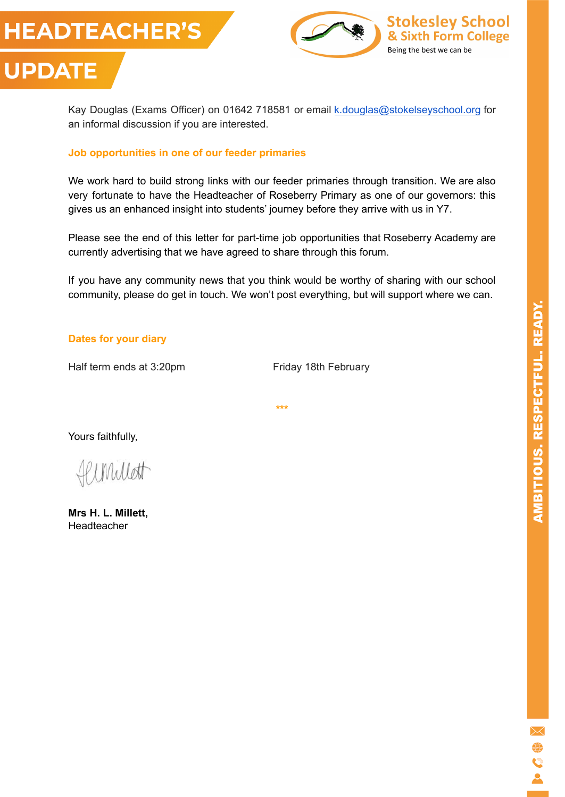





#### **Job opportunities in one of our feeder primaries**

We work hard to build strong links with our feeder primaries through transition. We are also very fortunate to have the Headteacher of Roseberry Primary as one of our governors: this gives us an enhanced insight into students' journey before they arrive with us in Y7.

Please see the end of this letter for part-time job opportunities that Roseberry Academy are currently advertising that we have agreed to share through this forum.

If you have any community news that you think would be worthy of sharing with our school community, please do get in touch. We won't post everything, but will support where we can.

**\*\*\***

#### **Dates for your diary**

Half term ends at 3:20pm Friday 18th February

Yours faithfully,

Unillett

**Mrs H. L. Millett,** Headteacher